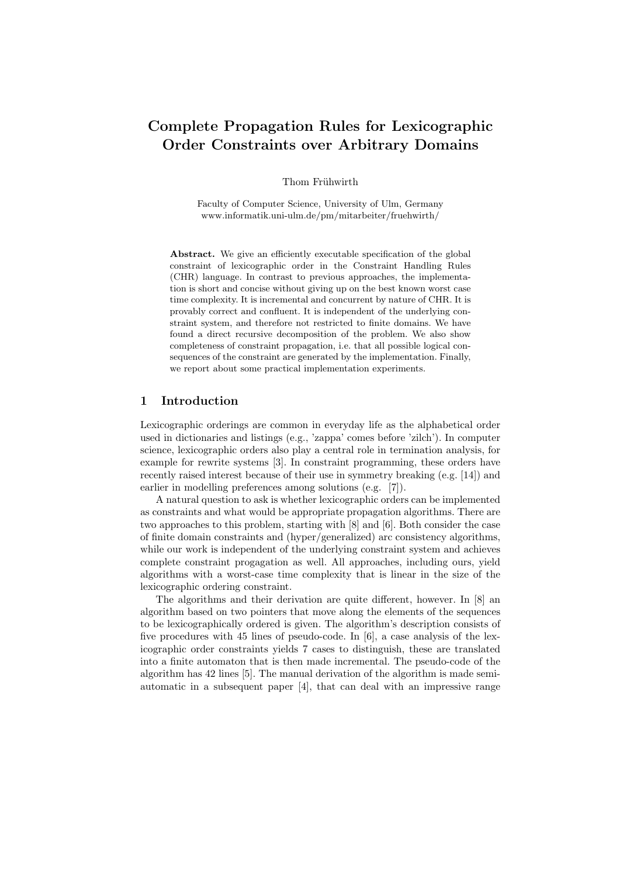# Complete Propagation Rules for Lexicographic Order Constraints over Arbitrary Domains

Thom Frühwirth

Faculty of Computer Science, University of Ulm, Germany www.informatik.uni-ulm.de/pm/mitarbeiter/fruehwirth/

Abstract. We give an efficiently executable specification of the global constraint of lexicographic order in the Constraint Handling Rules (CHR) language. In contrast to previous approaches, the implementation is short and concise without giving up on the best known worst case time complexity. It is incremental and concurrent by nature of CHR. It is provably correct and confluent. It is independent of the underlying constraint system, and therefore not restricted to finite domains. We have found a direct recursive decomposition of the problem. We also show completeness of constraint propagation, i.e. that all possible logical consequences of the constraint are generated by the implementation. Finally, we report about some practical implementation experiments.

## 1 Introduction

Lexicographic orderings are common in everyday life as the alphabetical order used in dictionaries and listings (e.g., 'zappa' comes before 'zilch'). In computer science, lexicographic orders also play a central role in termination analysis, for example for rewrite systems [3]. In constraint programming, these orders have recently raised interest because of their use in symmetry breaking (e.g. [14]) and earlier in modelling preferences among solutions (e.g. [7]).

A natural question to ask is whether lexicographic orders can be implemented as constraints and what would be appropriate propagation algorithms. There are two approaches to this problem, starting with [8] and [6]. Both consider the case of finite domain constraints and (hyper/generalized) arc consistency algorithms, while our work is independent of the underlying constraint system and achieves complete constraint progagation as well. All approaches, including ours, yield algorithms with a worst-case time complexity that is linear in the size of the lexicographic ordering constraint.

The algorithms and their derivation are quite different, however. In [8] an algorithm based on two pointers that move along the elements of the sequences to be lexicographically ordered is given. The algorithm's description consists of five procedures with 45 lines of pseudo-code. In [6], a case analysis of the lexicographic order constraints yields 7 cases to distinguish, these are translated into a finite automaton that is then made incremental. The pseudo-code of the algorithm has 42 lines [5]. The manual derivation of the algorithm is made semiautomatic in a subsequent paper [4], that can deal with an impressive range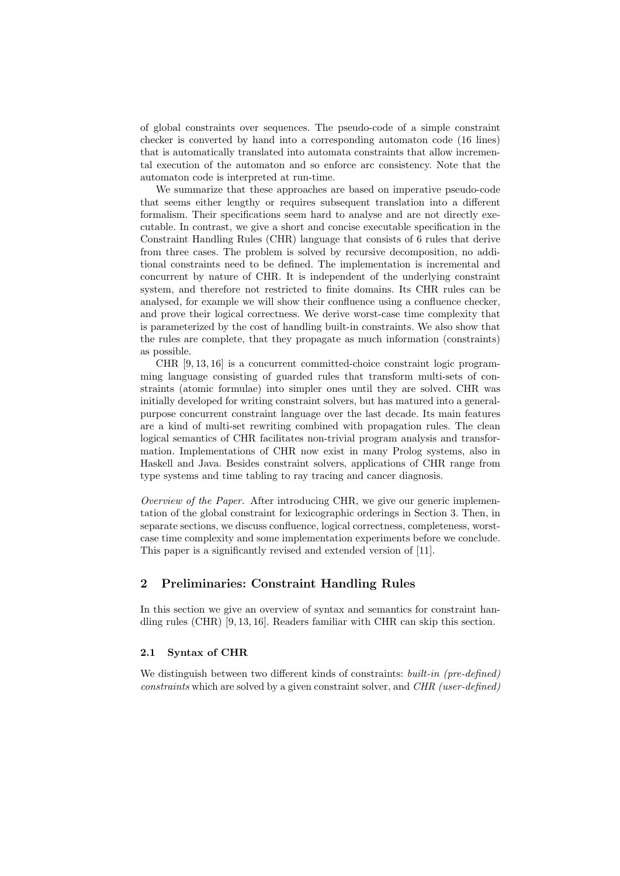of global constraints over sequences. The pseudo-code of a simple constraint checker is converted by hand into a corresponding automaton code (16 lines) that is automatically translated into automata constraints that allow incremental execution of the automaton and so enforce arc consistency. Note that the automaton code is interpreted at run-time.

We summarize that these approaches are based on imperative pseudo-code that seems either lengthy or requires subsequent translation into a different formalism. Their specifications seem hard to analyse and are not directly executable. In contrast, we give a short and concise executable specification in the Constraint Handling Rules (CHR) language that consists of 6 rules that derive from three cases. The problem is solved by recursive decomposition, no additional constraints need to be defined. The implementation is incremental and concurrent by nature of CHR. It is independent of the underlying constraint system, and therefore not restricted to finite domains. Its CHR rules can be analysed, for example we will show their confluence using a confluence checker, and prove their logical correctness. We derive worst-case time complexity that is parameterized by the cost of handling built-in constraints. We also show that the rules are complete, that they propagate as much information (constraints) as possible.

CHR [9, 13, 16] is a concurrent committed-choice constraint logic programming language consisting of guarded rules that transform multi-sets of constraints (atomic formulae) into simpler ones until they are solved. CHR was initially developed for writing constraint solvers, but has matured into a generalpurpose concurrent constraint language over the last decade. Its main features are a kind of multi-set rewriting combined with propagation rules. The clean logical semantics of CHR facilitates non-trivial program analysis and transformation. Implementations of CHR now exist in many Prolog systems, also in Haskell and Java. Besides constraint solvers, applications of CHR range from type systems and time tabling to ray tracing and cancer diagnosis.

Overview of the Paper. After introducing CHR, we give our generic implementation of the global constraint for lexicographic orderings in Section 3. Then, in separate sections, we discuss confluence, logical correctness, completeness, worstcase time complexity and some implementation experiments before we conclude. This paper is a significantly revised and extended version of [11].

## 2 Preliminaries: Constraint Handling Rules

In this section we give an overview of syntax and semantics for constraint handling rules (CHR) [9, 13, 16]. Readers familiar with CHR can skip this section.

#### 2.1 Syntax of CHR

We distinguish between two different kinds of constraints: built-in (pre-defined) constraints which are solved by a given constraint solver, and CHR (user-defined)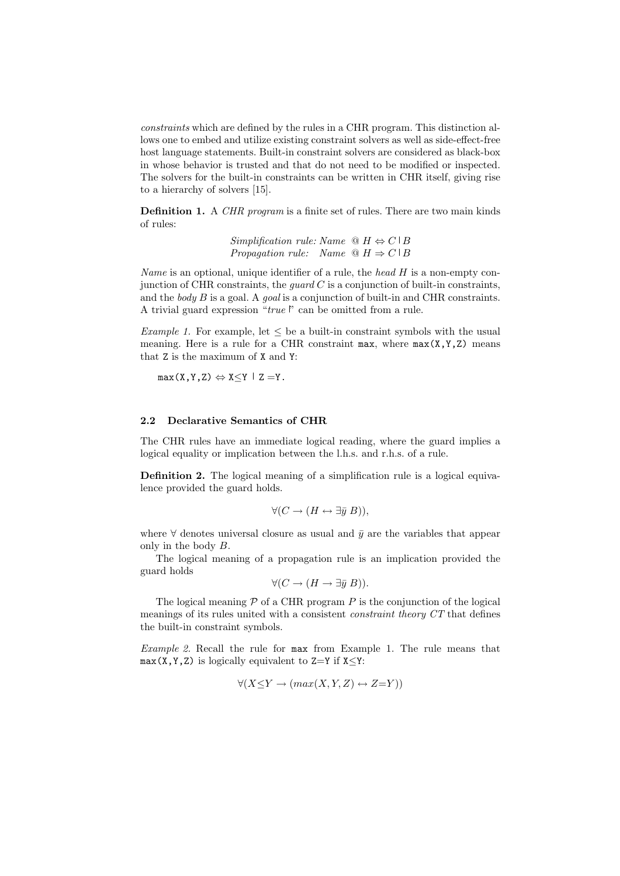constraints which are defined by the rules in a CHR program. This distinction allows one to embed and utilize existing constraint solvers as well as side-effect-free host language statements. Built-in constraint solvers are considered as black-box in whose behavior is trusted and that do not need to be modified or inspected. The solvers for the built-in constraints can be written in CHR itself, giving rise to a hierarchy of solvers [15].

Definition 1. A CHR program is a finite set of rules. There are two main kinds of rules:

> Simplification rule: Name  $\mathcal{Q} \mid H \Leftrightarrow C \mid B$ Propagation rule: Name  $\mathcal{Q} H \Rightarrow C \mid B$

Name is an optional, unique identifier of a rule, the head  $H$  is a non-empty conjunction of CHR constraints, the *guard*  $C$  is a conjunction of built-in constraints, and the body  $B$  is a goal. A goal is a conjunction of built-in and CHR constraints. A trivial guard expression "true" can be omitted from a rule.

Example 1. For example, let  $\leq$  be a built-in constraint symbols with the usual meaning. Here is a rule for a CHR constraint  $max$ , where  $max(X, Y, Z)$  means that Z is the maximum of X and Y:

$$
\max(X, Y, Z) \Leftrightarrow X \leq Y \mid Z = Y.
$$

### 2.2 Declarative Semantics of CHR

The CHR rules have an immediate logical reading, where the guard implies a logical equality or implication between the l.h.s. and r.h.s. of a rule.

Definition 2. The logical meaning of a simplification rule is a logical equivalence provided the guard holds.

$$
\forall (C \rightarrow (H \leftrightarrow \exists \bar{y} \; B)),
$$

where  $\forall$  denotes universal closure as usual and  $\bar{y}$  are the variables that appear only in the body B.

The logical meaning of a propagation rule is an implication provided the guard holds

$$
\forall (C \rightarrow (H \rightarrow \exists \bar{y} \; B)).
$$

The logical meaning  $P$  of a CHR program  $P$  is the conjunction of the logical meanings of its rules united with a consistent constraint theory CT that defines the built-in constraint symbols.

Example 2. Recall the rule for max from Example 1. The rule means that  $max(X, Y, Z)$  is logically equivalent to  $Z = Y$  if  $X \leq Y$ :

$$
\forall (X \leq Y \to (max(X, Y, Z) \leftrightarrow Z = Y))
$$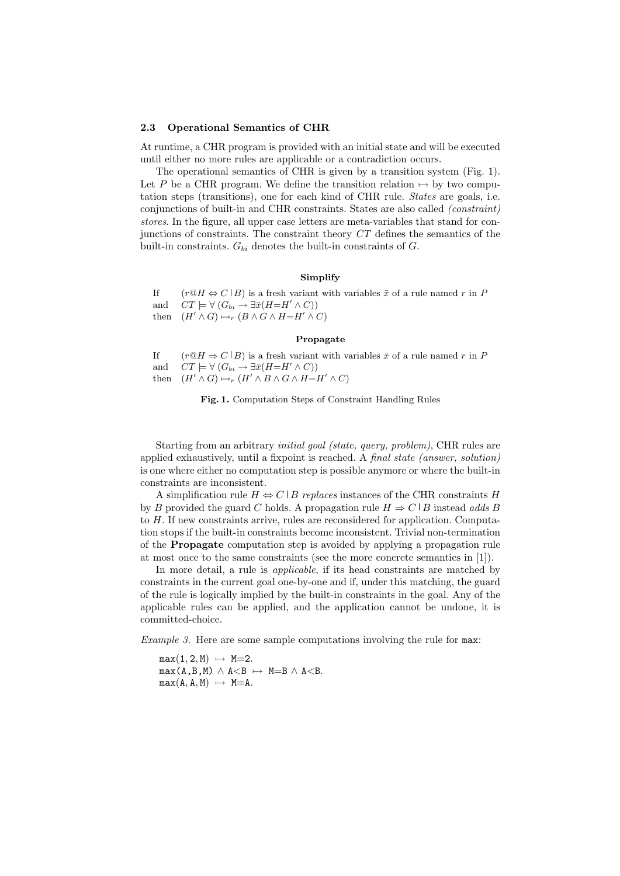#### 2.3 Operational Semantics of CHR

At runtime, a CHR program is provided with an initial state and will be executed until either no more rules are applicable or a contradiction occurs.

The operational semantics of CHR is given by a transition system (Fig. 1). Let P be a CHR program. We define the transition relation  $\mapsto$  by two computation steps (transitions), one for each kind of CHR rule. States are goals, i.e. conjunctions of built-in and CHR constraints. States are also called (constraint) stores. In the figure, all upper case letters are meta-variables that stand for conjunctions of constraints. The constraint theory CT defines the semantics of the built-in constraints.  $G_{bi}$  denotes the built-in constraints of  $G$ .

#### Simplify

If  $(r@H \Leftrightarrow C|B)$  is a fresh variant with variables  $\bar{x}$  of a rule named r in P and  $CT \models \forall (G_{bi} \rightarrow \exists \bar{x}(H=H' \land C))$ then  $(H' \wedge G) \mapsto_r (B \wedge G \wedge H = H' \wedge C)$ 

#### Propagate

If  $(r@H \Rightarrow C|B)$  is a fresh variant with variables  $\bar{x}$  of a rule named r in P and  $CT \models \forall (G_{bi} \rightarrow \exists \bar{x}(H=H' \land C))$ then  $(H' \wedge G) \mapsto_r (H' \wedge B \wedge G \wedge H = H' \wedge C)$ 

Fig. 1. Computation Steps of Constraint Handling Rules

Starting from an arbitrary initial goal (state, query, problem), CHR rules are applied exhaustively, until a fixpoint is reached. A *final state (answer, solution)* is one where either no computation step is possible anymore or where the built-in constraints are inconsistent.

A simplification rule  $H \Leftrightarrow C \mid B$  replaces instances of the CHR constraints H by B provided the guard C holds. A propagation rule  $H \Rightarrow C \mid B$  instead adds B to H. If new constraints arrive, rules are reconsidered for application. Computation stops if the built-in constraints become inconsistent. Trivial non-termination of the Propagate computation step is avoided by applying a propagation rule at most once to the same constraints (see the more concrete semantics in [1]).

In more detail, a rule is *applicable*, if its head constraints are matched by constraints in the current goal one-by-one and if, under this matching, the guard of the rule is logically implied by the built-in constraints in the goal. Any of the applicable rules can be applied, and the application cannot be undone, it is committed-choice.

Example 3. Here are some sample computations involving the rule for max:

 $max(1, 2, M) \mapsto M=2.$  $max(A, B, M) \wedge A \leq B \mapsto M=B \wedge A \leq B.$  $max(A, A, M) \rightarrow M=A$ .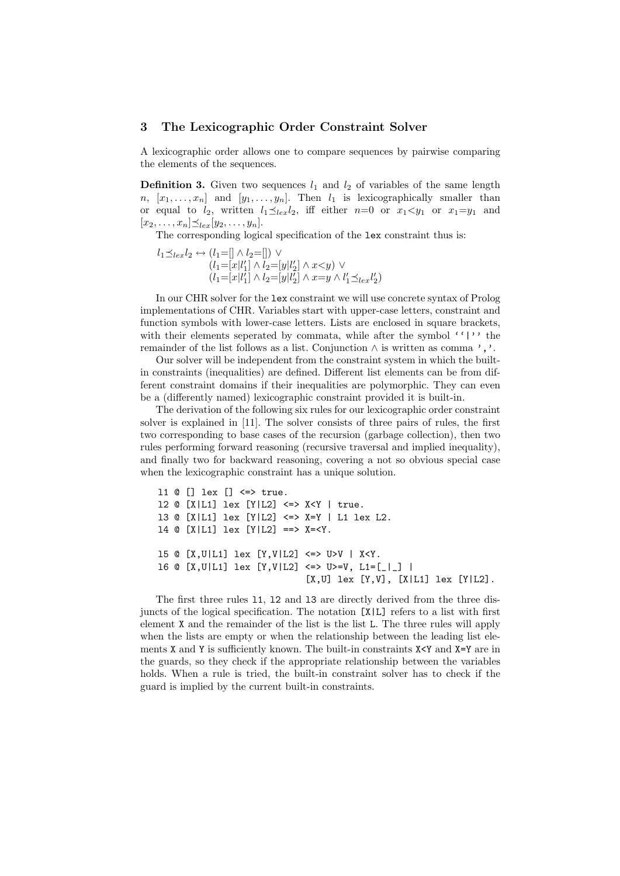#### 3 The Lexicographic Order Constraint Solver

A lexicographic order allows one to compare sequences by pairwise comparing the elements of the sequences.

**Definition 3.** Given two sequences  $l_1$  and  $l_2$  of variables of the same length n,  $[x_1, \ldots, x_n]$  and  $[y_1, \ldots, y_n]$ . Then  $l_1$  is lexicographically smaller than or equal to  $l_2$ , written  $l_1\preceq_{lex}l_2$ , iff either  $n=0$  or  $x_1\lt y_1$  or  $x_1=y_1$  and  $[x_2, \ldots, x_n] \preceq_{lex}[y_2, \ldots, y_n].$ 

The corresponding logical specification of the lex constraint thus is:

$$
l_1 \leq_{lex} l_2 \leftrightarrow (l_1 = [] \land l_2 = [] ) \lor (l_1 = [x|l'_1] \land l_2 = [y|l'_2] \land x < y) \lor (l_1 = [x|l'_1] \land l_2 = [y|l'_2] \land x = y \land l'_1 \leq_{lex} l'_2)
$$

In our CHR solver for the lex constraint we will use concrete syntax of Prolog implementations of CHR. Variables start with upper-case letters, constraint and function symbols with lower-case letters. Lists are enclosed in square brackets, with their elements seperated by commata, while after the symbol ''|'' the remainder of the list follows as a list. Conjunction  $\land$  is written as comma ','.

Our solver will be independent from the constraint system in which the builtin constraints (inequalities) are defined. Different list elements can be from different constraint domains if their inequalities are polymorphic. They can even be a (differently named) lexicographic constraint provided it is built-in.

The derivation of the following six rules for our lexicographic order constraint solver is explained in [11]. The solver consists of three pairs of rules, the first two corresponding to base cases of the recursion (garbage collection), then two rules performing forward reasoning (recursive traversal and implied inequality), and finally two for backward reasoning, covering a not so obvious special case when the lexicographic constraint has a unique solution.

```
l1 @ [] lex [] <=> true.
l2 @ [X|L1] lex [Y|L2] <=> X<Y | true.
l3 @ [X|L1] lex [Y|L2] <=> X=Y | L1 lex L2.
14 @ [X|L1] lex [Y|L2] ==> X=<Y.
l5 @ [X,U|L1] lex [Y,V|L2] <=> U>V | X<Y.
l6 @ [X,U|L1] lex [Y,V|L2] <=> U>=V, L1=[_|_] |
                            [X,U] lex [Y,V], [X|L1] lex [Y|L2].
```
The first three rules l1, l2 and l3 are directly derived from the three disjuncts of the logical specification. The notation  $[X|L]$  refers to a list with first element X and the remainder of the list is the list L. The three rules will apply when the lists are empty or when the relationship between the leading list elements X and Y is sufficiently known. The built-in constraints X<Y and X=Y are in the guards, so they check if the appropriate relationship between the variables holds. When a rule is tried, the built-in constraint solver has to check if the guard is implied by the current built-in constraints.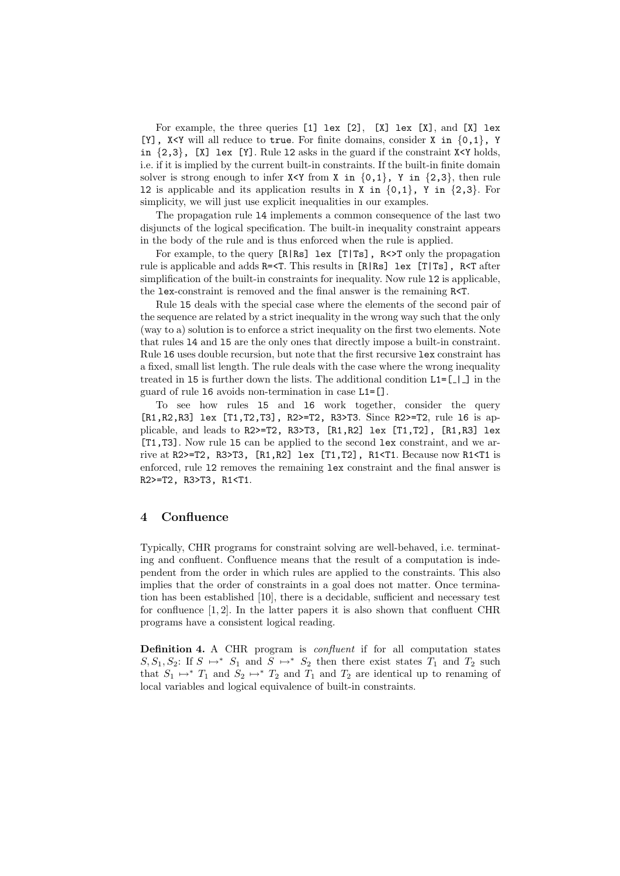For example, the three queries  $[1]$  lex  $[2]$ ,  $[X]$  lex  $[X]$ , and  $[X]$  lex [Y], X<Y will all reduce to true. For finite domains, consider X in  $\{0,1\}$ , Y in  $\{2,3\}$ , [X] lex [Y]. Rule 12 asks in the guard if the constraint X<Y holds, i.e. if it is implied by the current built-in constraints. If the built-in finite domain solver is strong enough to infer  $X \leq Y$  from X in  $\{0,1\}$ , Y in  $\{2,3\}$ , then rule 12 is applicable and its application results in X in  $\{0,1\}$ , Y in  $\{2,3\}$ . For simplicity, we will just use explicit inequalities in our examples.

The propagation rule l4 implements a common consequence of the last two disjuncts of the logical specification. The built-in inequality constraint appears in the body of the rule and is thus enforced when the rule is applied.

For example, to the query  $[R|Rs]$  lex  $[T|Ts]$ , R<>T only the propagation rule is applicable and adds R=<T. This results in [R|Rs] lex [T|Ts], R<T after simplification of the built-in constraints for inequality. Now rule l2 is applicable, the lex-constraint is removed and the final answer is the remaining R<T.

Rule l5 deals with the special case where the elements of the second pair of the sequence are related by a strict inequality in the wrong way such that the only (way to a) solution is to enforce a strict inequality on the first two elements. Note that rules l4 and l5 are the only ones that directly impose a built-in constraint. Rule l6 uses double recursion, but note that the first recursive lex constraint has a fixed, small list length. The rule deals with the case where the wrong inequality treated in 15 is further down the lists. The additional condition  $LI=[-]$  in the guard of rule l6 avoids non-termination in case L1=[].

To see how rules l5 and l6 work together, consider the query [R1,R2,R3] lex [T1,T2,T3], R2>=T2, R3>T3. Since R2>=T2, rule l6 is applicable, and leads to R2>=T2, R3>T3, [R1,R2] lex [T1,T2], [R1,R3] lex [T1,T3]. Now rule l5 can be applied to the second lex constraint, and we arrive at R2>=T2, R3>T3, [R1,R2] lex [T1,T2], R1<T1. Because now R1<T1 is enforced, rule l2 removes the remaining lex constraint and the final answer is R2>=T2, R3>T3, R1<T1.

## 4 Confluence

Typically, CHR programs for constraint solving are well-behaved, i.e. terminating and confluent. Confluence means that the result of a computation is independent from the order in which rules are applied to the constraints. This also implies that the order of constraints in a goal does not matter. Once termination has been established [10], there is a decidable, sufficient and necessary test for confluence  $[1, 2]$ . In the latter papers it is also shown that confluent CHR programs have a consistent logical reading.

Definition 4. A CHR program is *confluent* if for all computation states S,  $S_1, S_2$ : If  $S \mapsto^* S_1$  and  $S \mapsto^* S_2$  then there exist states  $T_1$  and  $T_2$  such that  $S_1 \mapsto^* T_1$  and  $S_2 \mapsto^* T_2$  and  $T_1$  and  $T_2$  are identical up to renaming of local variables and logical equivalence of built-in constraints.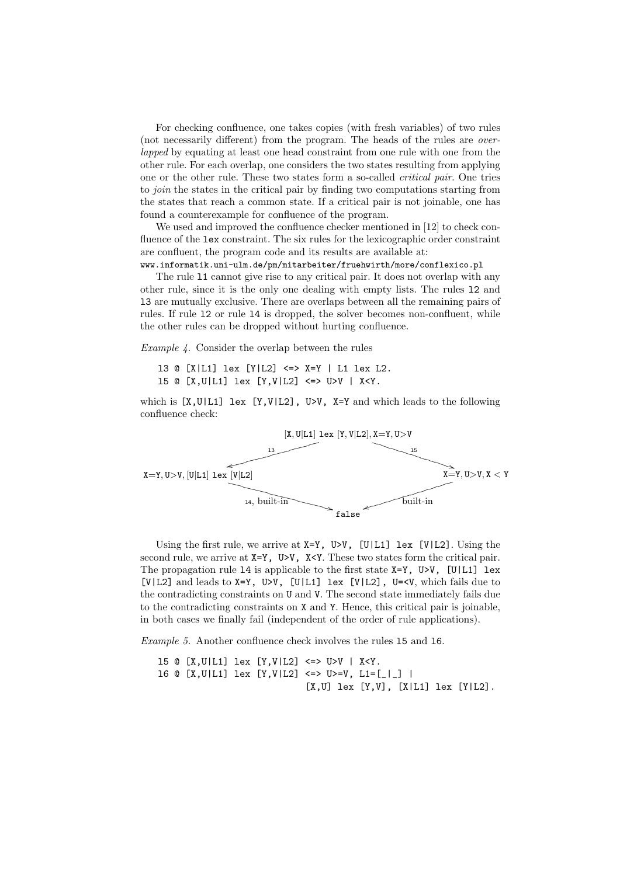For checking confluence, one takes copies (with fresh variables) of two rules (not necessarily different) from the program. The heads of the rules are overlapped by equating at least one head constraint from one rule with one from the other rule. For each overlap, one considers the two states resulting from applying one or the other rule. These two states form a so-called critical pair. One tries to join the states in the critical pair by finding two computations starting from the states that reach a common state. If a critical pair is not joinable, one has found a counterexample for confluence of the program.

We used and improved the confluence checker mentioned in [12] to check confluence of the lex constraint. The six rules for the lexicographic order constraint are confluent, the program code and its results are available at:

www.informatik.uni-ulm.de/pm/mitarbeiter/fruehwirth/more/conflexico.pl

The rule l1 cannot give rise to any critical pair. It does not overlap with any other rule, since it is the only one dealing with empty lists. The rules l2 and l3 are mutually exclusive. There are overlaps between all the remaining pairs of rules. If rule l2 or rule l4 is dropped, the solver becomes non-confluent, while the other rules can be dropped without hurting confluence.

Example 4. Consider the overlap between the rules

l3 @ [X|L1] lex [Y|L2] <=> X=Y | L1 lex L2. l5 @ [X,U|L1] lex [Y,V|L2] <=> U>V | X<Y.

which is  $[X, U|L1]$  lex  $[Y, V|L2]$ , U>V, X=Y and which leads to the following confluence check:



Using the first rule, we arrive at  $X=Y$ ,  $U>V$ ,  $[U|L1]$  lex  $[V|L2]$ . Using the second rule, we arrive at  $X=Y$ ,  $U>V$ ,  $X\leq Y$ . These two states form the critical pair. The propagation rule 14 is applicable to the first state  $X=Y$ ,  $U>V$ ,  $[U|L1]$  lex [V|L2] and leads to  $X=Y$ ,  $U>V$ , [U|L1] lex [V|L2], U=<V, which fails due to the contradicting constraints on U and V. The second state immediately fails due to the contradicting constraints on X and Y. Hence, this critical pair is joinable, in both cases we finally fail (independent of the order of rule applications).

Example 5. Another confluence check involves the rules l5 and l6.

```
l5 @ [X,U|L1] lex [Y,V|L2] <=> U>V | X<Y.
l6 @ [X,U|L1] lex [Y,V|L2] <=> U>=V, L1=[_|_] |
                            [X,U] lex [Y,V], [X|L1] lex [Y|L2].
```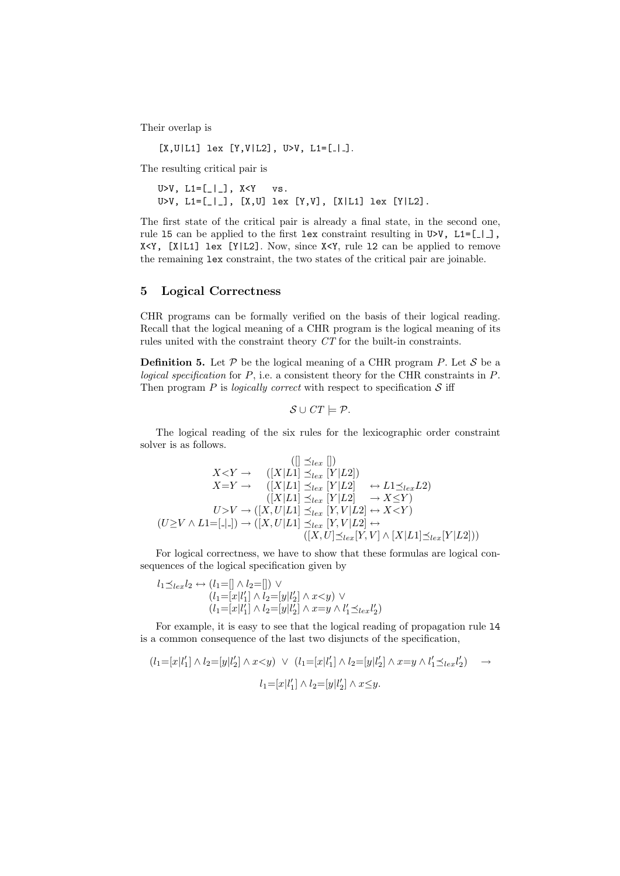Their overlap is

 $[X, U | L1]$  lex  $[Y, V | L2]$ , U>V, L1=[\_|\_].

The resulting critical pair is

U>V,  $LI=[\_|$ ],  $X < Y$  vs. U>V, L1=[\_|\_], [X,U] lex [Y,V], [X|L1] lex [Y|L2].

The first state of the critical pair is already a final state, in the second one, rule 15 can be applied to the first lex constraint resulting in  $U>V$ ,  $L1=[-]$ , X<Y, [X|L1] lex [Y|L2]. Now, since X<Y, rule l2 can be applied to remove the remaining lex constraint, the two states of the critical pair are joinable.

### 5 Logical Correctness

CHR programs can be formally verified on the basis of their logical reading. Recall that the logical meaning of a CHR program is the logical meaning of its rules united with the constraint theory CT for the built-in constraints.

**Definition 5.** Let  $P$  be the logical meaning of a CHR program P. Let  $S$  be a logical specification for  $P$ , i.e. a consistent theory for the CHR constraints in  $P$ . Then program  $P$  is *logically correct* with respect to specification  $S$  iff

$$
\mathcal{S} \cup CT \models \mathcal{P}.
$$

The logical reading of the six rules for the lexicographic order constraint solver is as follows.

$$
\langle \left[ \begin{array}{c} \langle \left[ \begin{array}{c} \preceq_{lex} \left[ \right] \right) \end{array} \right] \rangle \\ X \prec Y \to \quad (\left[ X | L1 \right] \preceq_{lex} \left[ Y | L2 \right]) \\ X = Y \to \quad (\left[ X | L1 \right] \preceq_{lex} \left[ Y | L2 \right] \quad \leftrightarrow L1 \preceq_{lex} L2) \\ \quad (\left[ X | L1 \right] \preceq_{lex} \left[ Y | L2 \right] \quad \to X \leq Y) \\ U > V \to (\left[ X, U | L1 \right] \preceq_{lex} \left[ Y, V | L2 \right] \leftrightarrow X < Y) \end{array} \end{array} \tag{U \geq V \land L1 = [-|.] \rightarrow (\left[ X, U | L1 \right] \preceq_{lex} \left[ Y, V | L2 \right] \leftrightarrow \quad (\left[ X, U \right] \preceq_{lex} \left[ Y, V \right] \land \left[ X | L1 \right] \preceq_{lex} \left[ Y | L2 \right])
$$

For logical correctness, we have to show that these formulas are logical consequences of the logical specification given by

$$
l_1 \preceq_{lex} l_2 \leftrightarrow (l_1 = [] \land l_2 = [] ) \lor (l_1 = [x|l'_1] \land l_2 = [y|l'_2] \land x < y) \lor (l_1 = [x|l'_1] \land l_2 = [y|l'_2] \land x = y \land l'_1 \preceq_{lex} l'_2)
$$

For example, it is easy to see that the logical reading of propagation rule l4 is a common consequence of the last two disjuncts of the specification,

$$
(l_1=[x|l'_1] \wedge l_2=[y|l'_2] \wedge x
$$
l_1=[x|l'_1] \wedge l_2=[y|l'_2] \wedge x \leq y.
$$
$$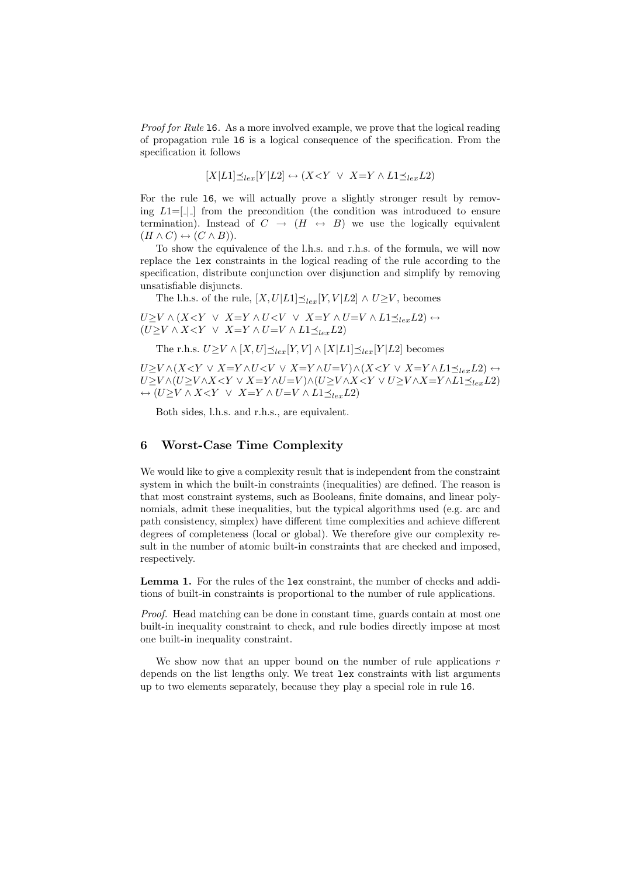Proof for Rule l6. As a more involved example, we prove that the logical reading of propagation rule l6 is a logical consequence of the specification. From the specification it follows

$$
[X|L1] \preceq_{lex} [Y|L2] \leftrightarrow (X \lt Y \ \lor \ X = Y \land L1 \preceq_{lex} L2)
$$

For the rule l6, we will actually prove a slightly stronger result by removing  $L1=[\ ]$  from the precondition (the condition was introduced to ensure termination). Instead of  $C \rightarrow (H \leftrightarrow B)$  we use the logically equivalent  $(H \wedge C) \leftrightarrow (C \wedge B)).$ 

To show the equivalence of the l.h.s. and r.h.s. of the formula, we will now replace the lex constraints in the logical reading of the rule according to the specification, distribute conjunction over disjunction and simplify by removing unsatisfiable disjuncts.

The l.h.s. of the rule,  $[X, U|L1] \preceq_{lex}[Y, V|L2] \wedge U \geq V$ , becomes

$$
U \geq V \land (X \leq Y \lor X = Y \land U \leq V \lor X = Y \land U = V \land L1 \leq_{lex} L2) \leftrightarrow (U \geq V \land X \leq Y \lor X = Y \land U = V \land L1 \leq_{lex} L2)
$$

The r.h.s.  $U \geq V \wedge [X, U] \leq_{lex}[Y, V] \wedge [X|L1] \leq_{lex}[Y|L2]$  becomes

 $U \geq V \wedge (X \leq Y \vee X = Y \wedge U \leq V \vee X = Y \wedge U = V) \wedge (X \leq Y \vee X = Y \wedge L_1 \preceq_{lex} L_2) \leftrightarrow$  $U \geq V \wedge (U \geq V \wedge X \lt Y \vee X = Y \wedge U = V) \wedge (U \geq V \wedge X \lt Y \vee U \geq V \wedge X = Y \wedge L_1 \preceq_{lex} L_2)$  $\leftrightarrow (U>V\wedge X$ 

Both sides, l.h.s. and r.h.s., are equivalent.

## 6 Worst-Case Time Complexity

We would like to give a complexity result that is independent from the constraint system in which the built-in constraints (inequalities) are defined. The reason is that most constraint systems, such as Booleans, finite domains, and linear polynomials, admit these inequalities, but the typical algorithms used (e.g. arc and path consistency, simplex) have different time complexities and achieve different degrees of completeness (local or global). We therefore give our complexity result in the number of atomic built-in constraints that are checked and imposed, respectively.

Lemma 1. For the rules of the lex constraint, the number of checks and additions of built-in constraints is proportional to the number of rule applications.

Proof. Head matching can be done in constant time, guards contain at most one built-in inequality constraint to check, and rule bodies directly impose at most one built-in inequality constraint.

We show now that an upper bound on the number of rule applications  $r$ depends on the list lengths only. We treat lex constraints with list arguments up to two elements separately, because they play a special role in rule l6.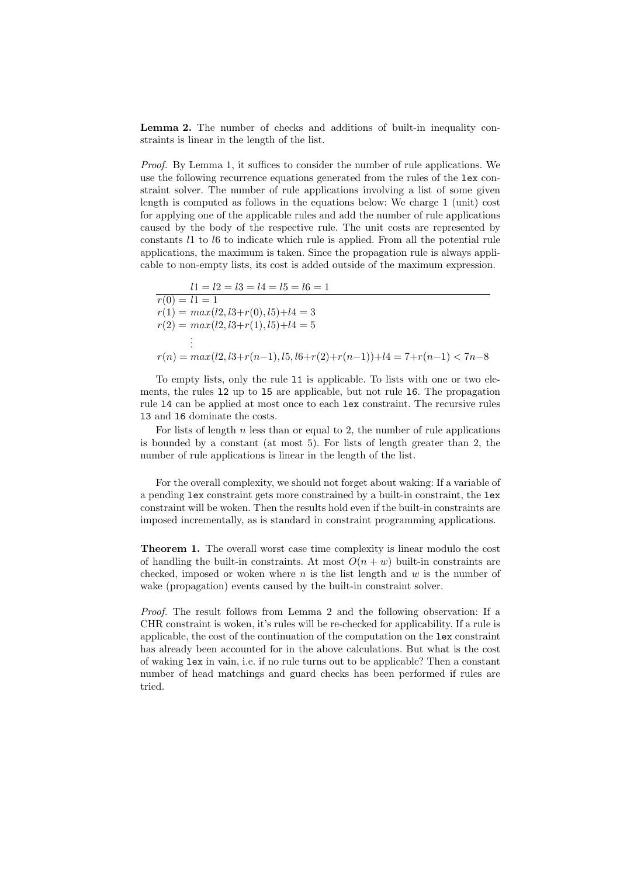Lemma 2. The number of checks and additions of built-in inequality constraints is linear in the length of the list.

Proof. By Lemma 1, it suffices to consider the number of rule applications. We use the following recurrence equations generated from the rules of the lex constraint solver. The number of rule applications involving a list of some given length is computed as follows in the equations below: We charge 1 (unit) cost for applying one of the applicable rules and add the number of rule applications caused by the body of the respective rule. The unit costs are represented by constants l1 to l6 to indicate which rule is applied. From all the potential rule applications, the maximum is taken. Since the propagation rule is always applicable to non-empty lists, its cost is added outside of the maximum expression.

$$
l1 = l2 = l3 = l4 = l5 = l6 = 1
$$
  
\n
$$
r(0) = l1 = 1
$$
  
\n
$$
r(1) = max(l2, l3 + r(0), l5) + l4 = 3
$$
  
\n
$$
r(2) = max(l2, l3 + r(1), l5) + l4 = 5
$$
  
\n
$$
\vdots
$$
  
\n
$$
r(n) = max(l2, l3 + r(n-1), l5, l6 + r(2) + r(n-1)) + l4 = 7 + r(n-1) < 7n-8
$$

To empty lists, only the rule l1 is applicable. To lists with one or two elements, the rules l2 up to l5 are applicable, but not rule l6. The propagation rule l4 can be applied at most once to each lex constraint. The recursive rules l3 and l6 dominate the costs.

For lists of length  $n$  less than or equal to 2, the number of rule applications is bounded by a constant (at most 5). For lists of length greater than 2, the number of rule applications is linear in the length of the list.

For the overall complexity, we should not forget about waking: If a variable of a pending lex constraint gets more constrained by a built-in constraint, the lex constraint will be woken. Then the results hold even if the built-in constraints are imposed incrementally, as is standard in constraint programming applications.

Theorem 1. The overall worst case time complexity is linear modulo the cost of handling the built-in constraints. At most  $O(n + w)$  built-in constraints are checked, imposed or woken where  $n$  is the list length and  $w$  is the number of wake (propagation) events caused by the built-in constraint solver.

Proof. The result follows from Lemma 2 and the following observation: If a CHR constraint is woken, it's rules will be re-checked for applicability. If a rule is applicable, the cost of the continuation of the computation on the lex constraint has already been accounted for in the above calculations. But what is the cost of waking lex in vain, i.e. if no rule turns out to be applicable? Then a constant number of head matchings and guard checks has been performed if rules are tried.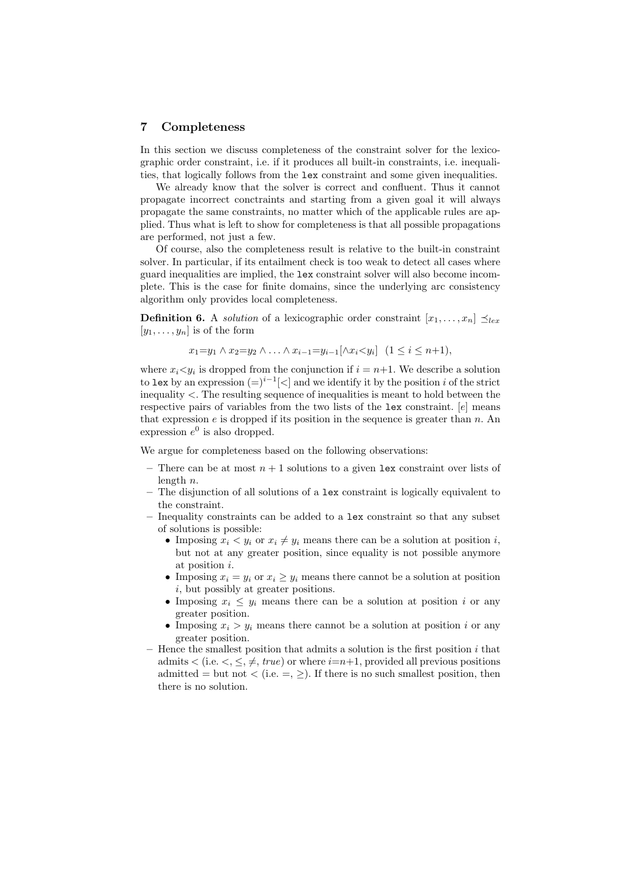#### 7 Completeness

In this section we discuss completeness of the constraint solver for the lexicographic order constraint, i.e. if it produces all built-in constraints, i.e. inequalities, that logically follows from the lex constraint and some given inequalities.

We already know that the solver is correct and confluent. Thus it cannot propagate incorrect conctraints and starting from a given goal it will always propagate the same constraints, no matter which of the applicable rules are applied. Thus what is left to show for completeness is that all possible propagations are performed, not just a few.

Of course, also the completeness result is relative to the built-in constraint solver. In particular, if its entailment check is too weak to detect all cases where guard inequalities are implied, the lex constraint solver will also become incomplete. This is the case for finite domains, since the underlying arc consistency algorithm only provides local completeness.

**Definition 6.** A solution of a lexicographic order constraint  $[x_1, \ldots, x_n] \preceq_{lex}$  $[y_1, \ldots, y_n]$  is of the form

$$
x_1 = y_1 \land x_2 = y_2 \land \dots \land x_{i-1} = y_{i-1} [\land x_i < y_i] \ (1 \leq i \leq n+1),
$$

where  $x_i \leq y_i$  is dropped from the conjunction if  $i = n+1$ . We describe a solution to lex by an expression  $(=)^{i-1}[\le]$  and we identify it by the position i of the strict inequality <. The resulting sequence of inequalities is meant to hold between the respective pairs of variables from the two lists of the lex constraint.  $[e]$  means that expression  $e$  is dropped if its position in the sequence is greater than  $n$ . An expression  $e^0$  is also dropped.

We argue for completeness based on the following observations:

- There can be at most  $n + 1$  solutions to a given lex constraint over lists of length n.
- The disjunction of all solutions of a lex constraint is logically equivalent to the constraint.
- Inequality constraints can be added to a lex constraint so that any subset of solutions is possible:
	- Imposing  $x_i < y_i$  or  $x_i \neq y_i$  means there can be a solution at position i, but not at any greater position, since equality is not possible anymore at position i.
	- Imposing  $x_i = y_i$  or  $x_i \geq y_i$  means there cannot be a solution at position i, but possibly at greater positions.
	- Imposing  $x_i \leq y_i$  means there can be a solution at position i or any greater position.
	- Imposing  $x_i > y_i$  means there cannot be a solution at position i or any greater position.
- $-$  Hence the smallest position that admits a solution is the first position  $i$  that admits  $\lt$  (i.e.  $\lt$ ,  $\leq$ ,  $\neq$ , *true*) or where *i*=*n*+1, provided all previous positions admitted = but not < (i.e.  $=$ ,  $\geq$ ). If there is no such smallest position, then there is no solution.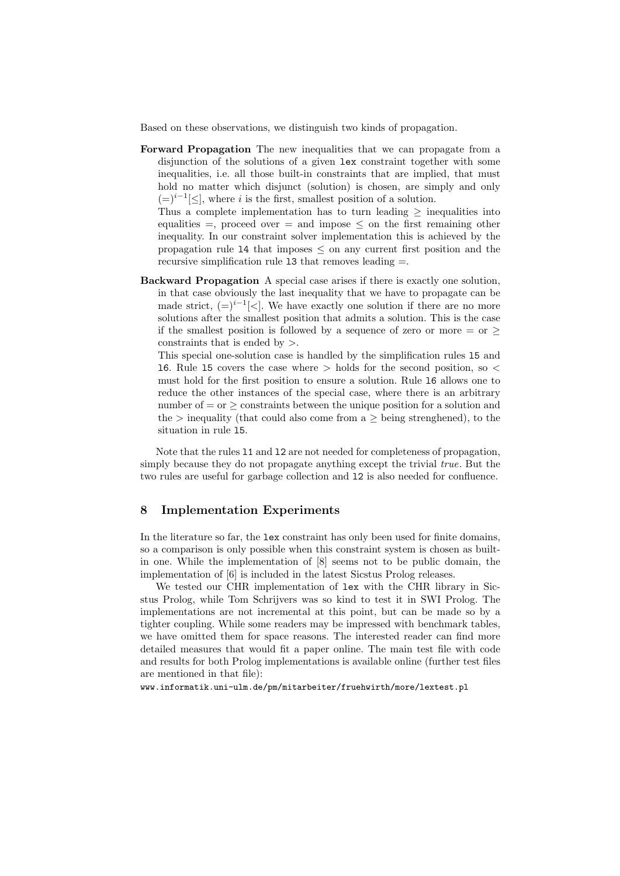Based on these observations, we distinguish two kinds of propagation.

Forward Propagation The new inequalities that we can propagate from a disjunction of the solutions of a given lex constraint together with some inequalities, i.e. all those built-in constraints that are implied, that must hold no matter which disjunct (solution) is chosen, are simply and only  $(=)^{i-1}$ [≤], where *i* is the first, smallest position of a solution.

Thus a complete implementation has to turn leading  $\geq$  inequalities into equalities  $=$ , proceed over  $=$  and impose  $\leq$  on the first remaining other inequality. In our constraint solver implementation this is achieved by the propagation rule 14 that imposes  $\leq$  on any current first position and the recursive simplification rule l3 that removes leading =.

Backward Propagation A special case arises if there is exactly one solution, in that case obviously the last inequality that we have to propagate can be made strict,  $(=)^{i-1}[\langle \cdot]$ . We have exactly one solution if there are no more solutions after the smallest position that admits a solution. This is the case if the smallest position is followed by a sequence of zero or more = or  $\geq$ constraints that is ended by >.

This special one-solution case is handled by the simplification rules l5 and l6. Rule l5 covers the case where > holds for the second position, so < must hold for the first position to ensure a solution. Rule l6 allows one to reduce the other instances of the special case, where there is an arbitrary number of  $=$  or  $>$  constraints between the unique position for a solution and the  $>$  inequality (that could also come from a  $>$  being strenghened), to the situation in rule l5.

Note that the rules l1 and l2 are not needed for completeness of propagation, simply because they do not propagate anything except the trivial *true*. But the two rules are useful for garbage collection and l2 is also needed for confluence.

## 8 Implementation Experiments

In the literature so far, the lex constraint has only been used for finite domains, so a comparison is only possible when this constraint system is chosen as builtin one. While the implementation of [8] seems not to be public domain, the implementation of [6] is included in the latest Sicstus Prolog releases.

We tested our CHR implementation of lex with the CHR library in Sicstus Prolog, while Tom Schrijvers was so kind to test it in SWI Prolog. The implementations are not incremental at this point, but can be made so by a tighter coupling. While some readers may be impressed with benchmark tables, we have omitted them for space reasons. The interested reader can find more detailed measures that would fit a paper online. The main test file with code and results for both Prolog implementations is available online (further test files are mentioned in that file):

www.informatik.uni-ulm.de/pm/mitarbeiter/fruehwirth/more/lextest.pl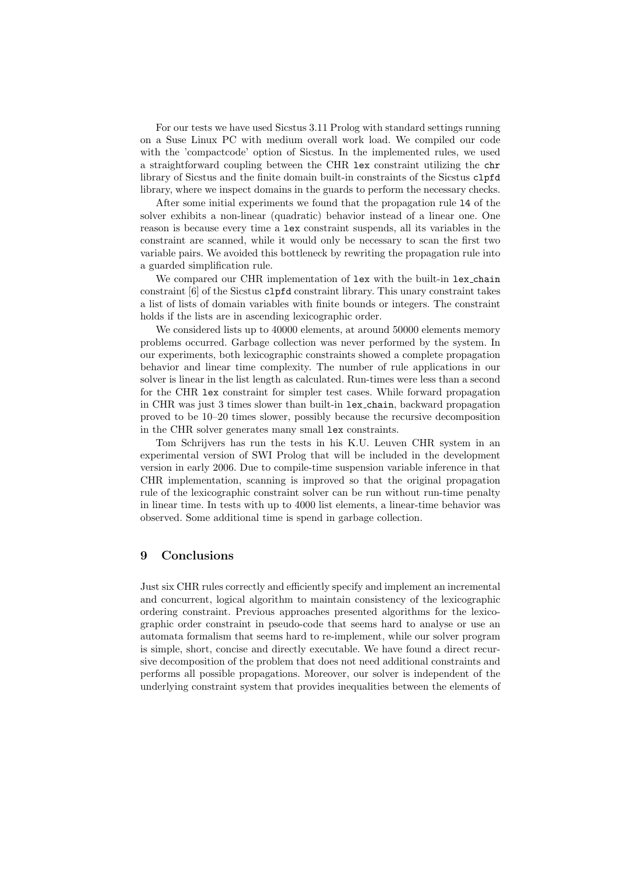For our tests we have used Sicstus 3.11 Prolog with standard settings running on a Suse Linux PC with medium overall work load. We compiled our code with the 'compactcode' option of Sicstus. In the implemented rules, we used a straightforward coupling between the CHR lex constraint utilizing the chr library of Sicstus and the finite domain built-in constraints of the Sicstus clpfd library, where we inspect domains in the guards to perform the necessary checks.

After some initial experiments we found that the propagation rule l4 of the solver exhibits a non-linear (quadratic) behavior instead of a linear one. One reason is because every time a lex constraint suspends, all its variables in the constraint are scanned, while it would only be necessary to scan the first two variable pairs. We avoided this bottleneck by rewriting the propagation rule into a guarded simplification rule.

We compared our CHR implementation of lex with the built-in lex chain constraint [6] of the Sicstus clpfd constraint library. This unary constraint takes a list of lists of domain variables with finite bounds or integers. The constraint holds if the lists are in ascending lexicographic order.

We considered lists up to 40000 elements, at around 50000 elements memory problems occurred. Garbage collection was never performed by the system. In our experiments, both lexicographic constraints showed a complete propagation behavior and linear time complexity. The number of rule applications in our solver is linear in the list length as calculated. Run-times were less than a second for the CHR lex constraint for simpler test cases. While forward propagation in CHR was just 3 times slower than built-in lex chain, backward propagation proved to be 10–20 times slower, possibly because the recursive decomposition in the CHR solver generates many small lex constraints.

Tom Schrijvers has run the tests in his K.U. Leuven CHR system in an experimental version of SWI Prolog that will be included in the development version in early 2006. Due to compile-time suspension variable inference in that CHR implementation, scanning is improved so that the original propagation rule of the lexicographic constraint solver can be run without run-time penalty in linear time. In tests with up to 4000 list elements, a linear-time behavior was observed. Some additional time is spend in garbage collection.

## 9 Conclusions

Just six CHR rules correctly and efficiently specify and implement an incremental and concurrent, logical algorithm to maintain consistency of the lexicographic ordering constraint. Previous approaches presented algorithms for the lexicographic order constraint in pseudo-code that seems hard to analyse or use an automata formalism that seems hard to re-implement, while our solver program is simple, short, concise and directly executable. We have found a direct recursive decomposition of the problem that does not need additional constraints and performs all possible propagations. Moreover, our solver is independent of the underlying constraint system that provides inequalities between the elements of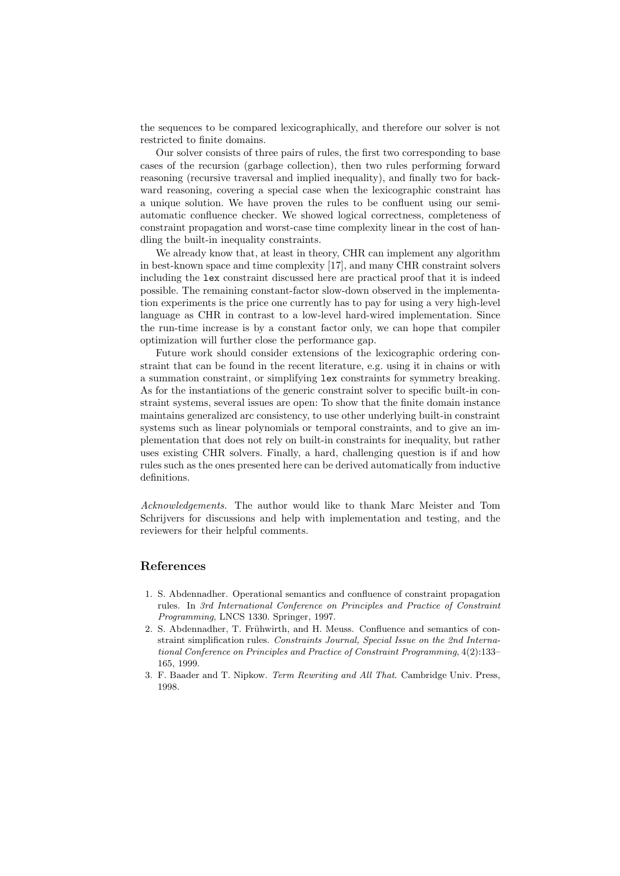the sequences to be compared lexicographically, and therefore our solver is not restricted to finite domains.

Our solver consists of three pairs of rules, the first two corresponding to base cases of the recursion (garbage collection), then two rules performing forward reasoning (recursive traversal and implied inequality), and finally two for backward reasoning, covering a special case when the lexicographic constraint has a unique solution. We have proven the rules to be confluent using our semiautomatic confluence checker. We showed logical correctness, completeness of constraint propagation and worst-case time complexity linear in the cost of handling the built-in inequality constraints.

We already know that, at least in theory, CHR can implement any algorithm in best-known space and time complexity [17], and many CHR constraint solvers including the lex constraint discussed here are practical proof that it is indeed possible. The remaining constant-factor slow-down observed in the implementation experiments is the price one currently has to pay for using a very high-level language as CHR in contrast to a low-level hard-wired implementation. Since the run-time increase is by a constant factor only, we can hope that compiler optimization will further close the performance gap.

Future work should consider extensions of the lexicographic ordering constraint that can be found in the recent literature, e.g. using it in chains or with a summation constraint, or simplifying lex constraints for symmetry breaking. As for the instantiations of the generic constraint solver to specific built-in constraint systems, several issues are open: To show that the finite domain instance maintains generalized arc consistency, to use other underlying built-in constraint systems such as linear polynomials or temporal constraints, and to give an implementation that does not rely on built-in constraints for inequality, but rather uses existing CHR solvers. Finally, a hard, challenging question is if and how rules such as the ones presented here can be derived automatically from inductive definitions.

Acknowledgements. The author would like to thank Marc Meister and Tom Schrijvers for discussions and help with implementation and testing, and the reviewers for their helpful comments.

## References

- 1. S. Abdennadher. Operational semantics and confluence of constraint propagation rules. In 3rd International Conference on Principles and Practice of Constraint Programming, LNCS 1330. Springer, 1997.
- 2. S. Abdennadher, T. Frühwirth, and H. Meuss. Confluence and semantics of constraint simplification rules. Constraints Journal, Special Issue on the 2nd International Conference on Principles and Practice of Constraint Programming, 4(2):133– 165, 1999.
- 3. F. Baader and T. Nipkow. Term Rewriting and All That. Cambridge Univ. Press, 1998.